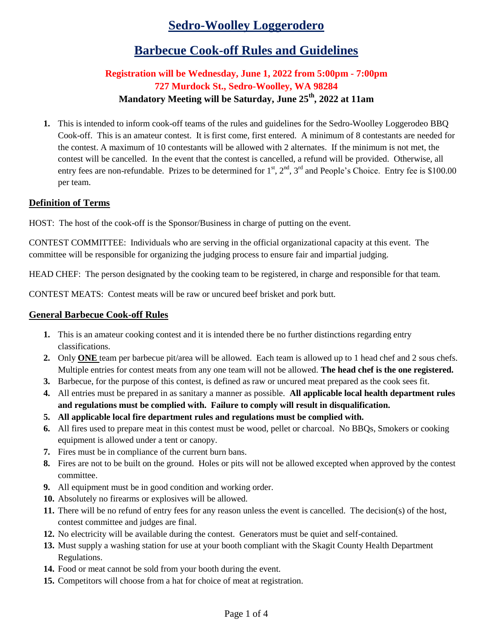# **Sedro-Woolley Loggerodero**

## **Barbecue Cook-off Rules and Guidelines**

#### **Registration will be Wednesday, June 1, 2022 from 5:00pm - 7:00pm 727 Murdock St., Sedro-Woolley, WA 98284 Mandatory Meeting will be Saturday, June 25th, 2022 at 11am**

**1.** This is intended to inform cook-off teams of the rules and guidelines for the Sedro-Woolley Loggerodeo BBQ Cook-off. This is an amateur contest. It is first come, first entered. A minimum of 8 contestants are needed for the contest. A maximum of 10 contestants will be allowed with 2 alternates. If the minimum is not met, the contest will be cancelled. In the event that the contest is cancelled, a refund will be provided. Otherwise, all entry fees are non-refundable. Prizes to be determined for  $1<sup>st</sup>$ ,  $2<sup>nd</sup>$ ,  $3<sup>rd</sup>$  and People's Choice. Entry fee is \$100.00 per team.

#### **Definition of Terms**

HOST: The host of the cook-off is the Sponsor/Business in charge of putting on the event.

CONTEST COMMITTEE: Individuals who are serving in the official organizational capacity at this event. The committee will be responsible for organizing the judging process to ensure fair and impartial judging.

HEAD CHEF: The person designated by the cooking team to be registered, in charge and responsible for that team.

CONTEST MEATS: Contest meats will be raw or uncured beef brisket and pork butt.

#### **General Barbecue Cook-off Rules**

- **1.** This is an amateur cooking contest and it is intended there be no further distinctions regarding entry classifications.
- **2.** Only **ONE** team per barbecue pit/area will be allowed. Each team is allowed up to 1 head chef and 2 sous chefs. Multiple entries for contest meats from any one team will not be allowed. **The head chef is the one registered.**
- **3.** Barbecue, for the purpose of this contest, is defined as raw or uncured meat prepared as the cook sees fit.
- **4.** All entries must be prepared in as sanitary a manner as possible. **All applicable local health department rules and regulations must be complied with. Failure to comply will result in disqualification.**
- **5. All applicable local fire department rules and regulations must be complied with.**
- **6.** All fires used to prepare meat in this contest must be wood, pellet or charcoal. No BBQs, Smokers or cooking equipment is allowed under a tent or canopy.
- **7.** Fires must be in compliance of the current burn bans.
- **8.** Fires are not to be built on the ground. Holes or pits will not be allowed excepted when approved by the contest committee.
- **9.** All equipment must be in good condition and working order.
- **10.** Absolutely no firearms or explosives will be allowed.
- **11.** There will be no refund of entry fees for any reason unless the event is cancelled. The decision(s) of the host, contest committee and judges are final.
- **12.** No electricity will be available during the contest. Generators must be quiet and self-contained.
- **13.** Must supply a washing station for use at your booth compliant with the Skagit County Health Department Regulations.
- **14.** Food or meat cannot be sold from your booth during the event.
- **15.** Competitors will choose from a hat for choice of meat at registration.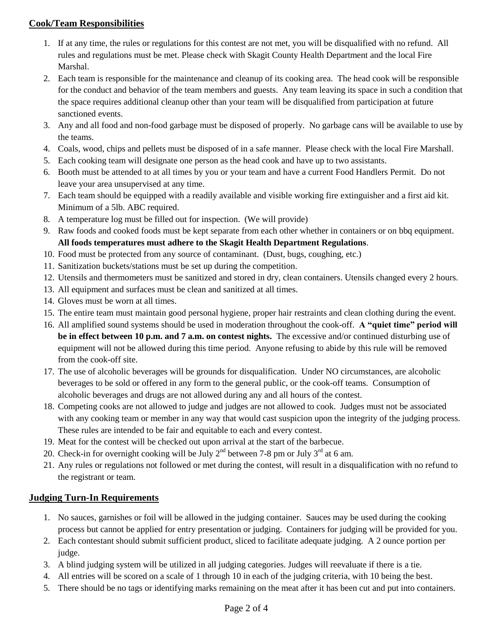#### **Cook/Team Responsibilities**

- 1. If at any time, the rules or regulations for this contest are not met, you will be disqualified with no refund. All rules and regulations must be met. Please check with Skagit County Health Department and the local Fire Marshal.
- 2. Each team is responsible for the maintenance and cleanup of its cooking area. The head cook will be responsible for the conduct and behavior of the team members and guests. Any team leaving its space in such a condition that the space requires additional cleanup other than your team will be disqualified from participation at future sanctioned events.
- 3. Any and all food and non-food garbage must be disposed of properly. No garbage cans will be available to use by the teams.
- 4. Coals, wood, chips and pellets must be disposed of in a safe manner. Please check with the local Fire Marshall.
- 5. Each cooking team will designate one person as the head cook and have up to two assistants.
- 6. Booth must be attended to at all times by you or your team and have a current Food Handlers Permit. Do not leave your area unsupervised at any time.
- 7. Each team should be equipped with a readily available and visible working fire extinguisher and a first aid kit. Minimum of a 5lb. ABC required.
- 8. A temperature log must be filled out for inspection. (We will provide)
- 9. Raw foods and cooked foods must be kept separate from each other whether in containers or on bbq equipment. **All foods temperatures must adhere to the Skagit Health Department Regulations**.
- 10. Food must be protected from any source of contaminant. (Dust, bugs, coughing, etc.)
- 11. Sanitization buckets/stations must be set up during the competition.
- 12. Utensils and thermometers must be sanitized and stored in dry, clean containers. Utensils changed every 2 hours.
- 13. All equipment and surfaces must be clean and sanitized at all times.
- 14. Gloves must be worn at all times.
- 15. The entire team must maintain good personal hygiene, proper hair restraints and clean clothing during the event.
- 16. All amplified sound systems should be used in moderation throughout the cook-off. **A "quiet time" period will be in effect between 10 p.m. and 7 a.m. on contest nights.** The excessive and/or continued disturbing use of equipment will not be allowed during this time period. Anyone refusing to abide by this rule will be removed from the cook-off site.
- 17. The use of alcoholic beverages will be grounds for disqualification. Under NO circumstances, are alcoholic beverages to be sold or offered in any form to the general public, or the cook-off teams. Consumption of alcoholic beverages and drugs are not allowed during any and all hours of the contest.
- 18. Competing cooks are not allowed to judge and judges are not allowed to cook. Judges must not be associated with any cooking team or member in any way that would cast suspicion upon the integrity of the judging process. These rules are intended to be fair and equitable to each and every contest.
- 19. Meat for the contest will be checked out upon arrival at the start of the barbecue.
- 20. Check-in for overnight cooking will be July  $2<sup>nd</sup>$  between 7-8 pm or July  $3<sup>rd</sup>$  at 6 am.
- 21. Any rules or regulations not followed or met during the contest, will result in a disqualification with no refund to the registrant or team.

#### **Judging Turn-In Requirements**

- 1. No sauces, garnishes or foil will be allowed in the judging container. Sauces may be used during the cooking process but cannot be applied for entry presentation or judging. Containers for judging will be provided for you.
- 2. Each contestant should submit sufficient product, sliced to facilitate adequate judging. A 2 ounce portion per judge.
- 3. A blind judging system will be utilized in all judging categories. Judges will reevaluate if there is a tie.
- 4. All entries will be scored on a scale of 1 through 10 in each of the judging criteria, with 10 being the best.
- 5. There should be no tags or identifying marks remaining on the meat after it has been cut and put into containers.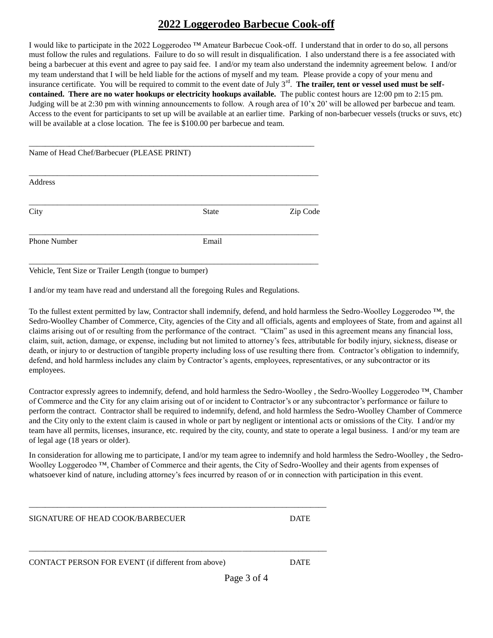## **2022 Loggerodeo Barbecue Cook-off**

I would like to participate in the 2022 Loggerodeo ™ Amateur Barbecue Cook-off. I understand that in order to do so, all persons must follow the rules and regulations. Failure to do so will result in disqualification. I also understand there is a fee associated with being a barbecuer at this event and agree to pay said fee. I and/or my team also understand the indemnity agreement below. I and/or my team understand that I will be held liable for the actions of myself and my team. Please provide a copy of your menu and insurance certificate. You will be required to commit to the event date of July 3<sup>rd</sup>. The trailer, tent or vessel used must be self**contained. There are no water hookups or electricity hookups available.** The public contest hours are 12:00 pm to 2:15 pm. Judging will be at 2:30 pm with winning announcements to follow. A rough area of 10'x 20' will be allowed per barbecue and team. Access to the event for participants to set up will be available at an earlier time. Parking of non-barbecuer vessels (trucks or suvs, etc) will be available at a close location. The fee is \$100.00 per barbecue and team.

| Name of Head Chef/Barbecuer (PLEASE PRINT) |              |          |
|--------------------------------------------|--------------|----------|
| Address                                    |              |          |
| City                                       | <b>State</b> | Zip Code |
| Phone Number                               | Email        |          |

Vehicle, Tent Size or Trailer Length (tongue to bumper)

I and/or my team have read and understand all the foregoing Rules and Regulations.

\_\_\_\_\_\_\_\_\_\_\_\_\_\_\_\_\_\_\_\_\_\_\_\_\_\_\_\_\_\_\_\_\_\_\_\_\_\_\_\_\_\_\_\_\_\_\_\_\_\_\_\_\_\_\_\_\_\_\_\_\_\_\_\_\_\_\_\_\_\_\_\_\_\_

\_\_\_\_\_\_\_\_\_\_\_\_\_\_\_\_\_\_\_\_\_\_\_\_\_\_\_\_\_\_\_\_\_\_\_\_\_\_\_\_\_\_\_\_\_\_\_\_\_\_\_\_\_\_\_\_\_\_\_\_\_\_\_\_\_\_\_\_\_\_\_\_\_\_

To the fullest extent permitted by law, Contractor shall indemnify, defend, and hold harmless the Sedro-Woolley Loggerodeo ™, the Sedro-Woolley Chamber of Commerce, City, agencies of the City and all officials, agents and employees of State, from and against all claims arising out of or resulting from the performance of the contract. "Claim" as used in this agreement means any financial loss, claim, suit, action, damage, or expense, including but not limited to attorney's fees, attributable for bodily injury, sickness, disease or death, or injury to or destruction of tangible property including loss of use resulting there from. Contractor's obligation to indemnify, defend, and hold harmless includes any claim by Contractor's agents, employees, representatives, or any subcontractor or its employees.

Contractor expressly agrees to indemnify, defend, and hold harmless the Sedro-Woolley , the Sedro-Woolley Loggerodeo ™, Chamber of Commerce and the City for any claim arising out of or incident to Contractor's or any subcontractor's performance or failure to perform the contract. Contractor shall be required to indemnify, defend, and hold harmless the Sedro-Woolley Chamber of Commerce and the City only to the extent claim is caused in whole or part by negligent or intentional acts or omissions of the City. I and/or my team have all permits, licenses, insurance, etc. required by the city, county, and state to operate a legal business. I and/or my team are of legal age (18 years or older).

In consideration for allowing me to participate, I and/or my team agree to indemnify and hold harmless the Sedro-Woolley , the Sedro-Woolley Loggerodeo ™, Chamber of Commerce and their agents, the City of Sedro-Woolley and their agents from expenses of whatsoever kind of nature, including attorney's fees incurred by reason of or in connection with participation in this event.

SIGNATURE OF HEAD COOK/BARBECUER DATE

CONTACT PERSON FOR EVENT (if different from above) DATE

Page 3 of 4